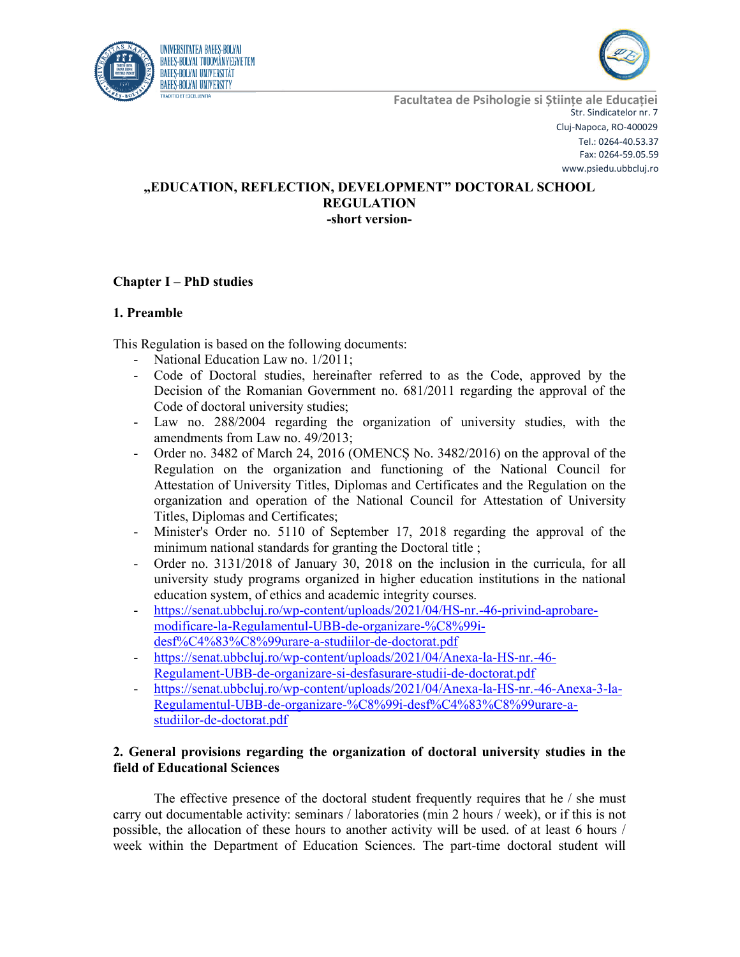



# **"EDUCATION, REFLECTION, DEVELOPMENT" DOCTORAL SCHOOL REGULATION -short version-**

# **Chapter I – PhD studies**

### **1. Preamble**

This Regulation is based on the following documents:

- National Education Law no. 1/2011;
- Code of Doctoral studies, hereinafter referred to as the Code, approved by the Decision of the Romanian Government no. 681/2011 regarding the approval of the Code of doctoral university studies;
- Law no. 288/2004 regarding the organization of university studies, with the amendments from Law no. 49/2013;
- Order no. 3482 of March 24, 2016 (OMENCȘ No. 3482/2016) on the approval of the Regulation on the organization and functioning of the National Council for Attestation of University Titles, Diplomas and Certificates and the Regulation on the organization and operation of the National Council for Attestation of University Titles, Diplomas and Certificates;
- Minister's Order no. 5110 of September 17, 2018 regarding the approval of the minimum national standards for granting the Doctoral title ;
- Order no. 3131/2018 of January 30, 2018 on the inclusion in the curricula, for all university study programs organized in higher education institutions in the national education system, of ethics and academic integrity courses.
- https://senat.ubbcluj.ro/wp-content/uploads/2021/04/HS-nr.-46-privind-aprobaremodificare-la-Regulamentul-UBB-de-organizare-%C8%99idesf%C4%83%C8%99urare-a-studiilor-de-doctorat.pdf
- https://senat.ubbcluj.ro/wp-content/uploads/2021/04/Anexa-la-HS-nr.-46- Regulament-UBB-de-organizare-si-desfasurare-studii-de-doctorat.pdf
- https://senat.ubbcluj.ro/wp-content/uploads/2021/04/Anexa-la-HS-nr.-46-Anexa-3-la-Regulamentul-UBB-de-organizare-%C8%99i-desf%C4%83%C8%99urare-astudiilor-de-doctorat.pdf

## **2. General provisions regarding the organization of doctoral university studies in the field of Educational Sciences**

The effective presence of the doctoral student frequently requires that he / she must carry out documentable activity: seminars / laboratories (min 2 hours / week), or if this is not possible, the allocation of these hours to another activity will be used. of at least 6 hours / week within the Department of Education Sciences. The part-time doctoral student will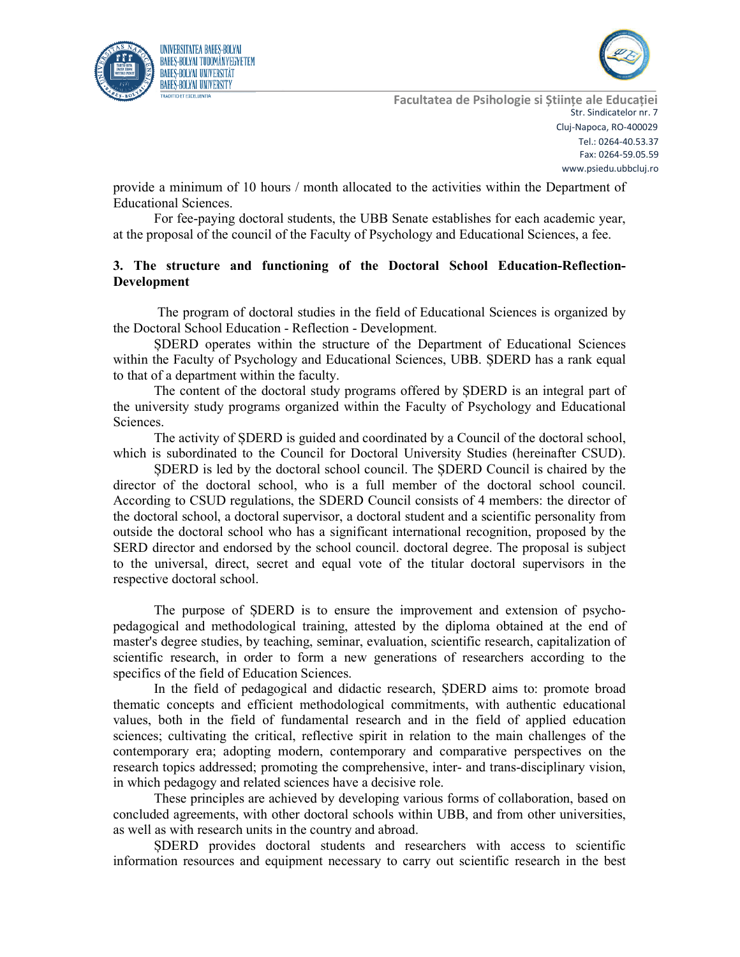



provide a minimum of 10 hours / month allocated to the activities within the Department of Educational Sciences.

For fee-paying doctoral students, the UBB Senate establishes for each academic year, at the proposal of the council of the Faculty of Psychology and Educational Sciences, a fee.

## **3. The structure and functioning of the Doctoral School Education-Reflection-Development**

The program of doctoral studies in the field of Educational Sciences is organized by the Doctoral School Education - Reflection - Development.

ȘDERD operates within the structure of the Department of Educational Sciences within the Faculty of Psychology and Educational Sciences, UBB. ȘDERD has a rank equal to that of a department within the faculty.

The content of the doctoral study programs offered by ȘDERD is an integral part of the university study programs organized within the Faculty of Psychology and Educational Sciences.

The activity of ȘDERD is guided and coordinated by a Council of the doctoral school, which is subordinated to the Council for Doctoral University Studies (hereinafter CSUD).

ȘDERD is led by the doctoral school council. The ȘDERD Council is chaired by the director of the doctoral school, who is a full member of the doctoral school council. According to CSUD regulations, the SDERD Council consists of 4 members: the director of the doctoral school, a doctoral supervisor, a doctoral student and a scientific personality from outside the doctoral school who has a significant international recognition, proposed by the SERD director and endorsed by the school council. doctoral degree. The proposal is subject to the universal, direct, secret and equal vote of the titular doctoral supervisors in the respective doctoral school.

The purpose of ȘDERD is to ensure the improvement and extension of psychopedagogical and methodological training, attested by the diploma obtained at the end of master's degree studies, by teaching, seminar, evaluation, scientific research, capitalization of scientific research, in order to form a new generations of researchers according to the specifics of the field of Education Sciences.

In the field of pedagogical and didactic research, ȘDERD aims to: promote broad thematic concepts and efficient methodological commitments, with authentic educational values, both in the field of fundamental research and in the field of applied education sciences; cultivating the critical, reflective spirit in relation to the main challenges of the contemporary era; adopting modern, contemporary and comparative perspectives on the research topics addressed; promoting the comprehensive, inter- and trans-disciplinary vision, in which pedagogy and related sciences have a decisive role.

These principles are achieved by developing various forms of collaboration, based on concluded agreements, with other doctoral schools within UBB, and from other universities, as well as with research units in the country and abroad.

ȘDERD provides doctoral students and researchers with access to scientific information resources and equipment necessary to carry out scientific research in the best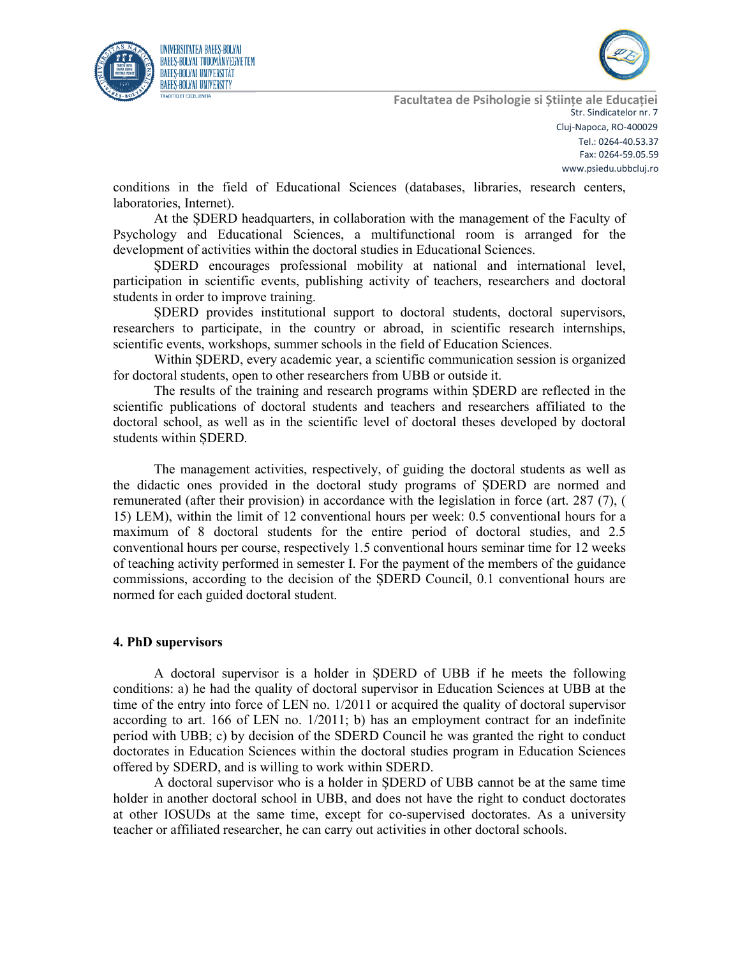



conditions in the field of Educational Sciences (databases, libraries, research centers, laboratories, Internet).

At the ȘDERD headquarters, in collaboration with the management of the Faculty of Psychology and Educational Sciences, a multifunctional room is arranged for the development of activities within the doctoral studies in Educational Sciences.

ȘDERD encourages professional mobility at national and international level, participation in scientific events, publishing activity of teachers, researchers and doctoral students in order to improve training.

ȘDERD provides institutional support to doctoral students, doctoral supervisors, researchers to participate, in the country or abroad, in scientific research internships, scientific events, workshops, summer schools in the field of Education Sciences.

Within ȘDERD, every academic year, a scientific communication session is organized for doctoral students, open to other researchers from UBB or outside it.

The results of the training and research programs within ȘDERD are reflected in the scientific publications of doctoral students and teachers and researchers affiliated to the doctoral school, as well as in the scientific level of doctoral theses developed by doctoral students within ȘDERD.

The management activities, respectively, of guiding the doctoral students as well as the didactic ones provided in the doctoral study programs of ȘDERD are normed and remunerated (after their provision) in accordance with the legislation in force (art. 287 (7), ( 15) LEM), within the limit of 12 conventional hours per week: 0.5 conventional hours for a maximum of 8 doctoral students for the entire period of doctoral studies, and 2.5 conventional hours per course, respectively 1.5 conventional hours seminar time for 12 weeks of teaching activity performed in semester I. For the payment of the members of the guidance commissions, according to the decision of the ȘDERD Council, 0.1 conventional hours are normed for each guided doctoral student.

#### **4. PhD supervisors**

A doctoral supervisor is a holder in ȘDERD of UBB if he meets the following conditions: a) he had the quality of doctoral supervisor in Education Sciences at UBB at the time of the entry into force of LEN no. 1/2011 or acquired the quality of doctoral supervisor according to art. 166 of LEN no. 1/2011; b) has an employment contract for an indefinite period with UBB; c) by decision of the SDERD Council he was granted the right to conduct doctorates in Education Sciences within the doctoral studies program in Education Sciences offered by SDERD, and is willing to work within SDERD.

A doctoral supervisor who is a holder in ȘDERD of UBB cannot be at the same time holder in another doctoral school in UBB, and does not have the right to conduct doctorates at other IOSUDs at the same time, except for co-supervised doctorates. As a university teacher or affiliated researcher, he can carry out activities in other doctoral schools.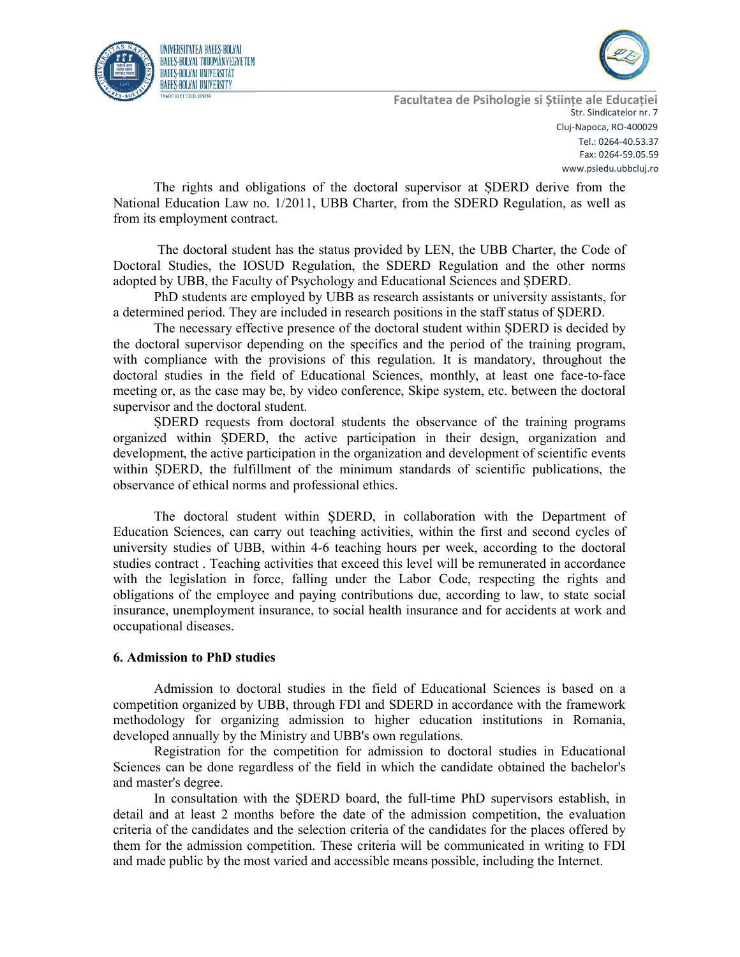



The rights and obligations of the doctoral supervisor at ȘDERD derive from the National Education Law no. 1/2011, UBB Charter, from the SDERD Regulation, as well as from its employment contract.

The doctoral student has the status provided by LEN, the UBB Charter, the Code of Doctoral Studies, the IOSUD Regulation, the SDERD Regulation and the other norms adopted by UBB, the Faculty of Psychology and Educational Sciences and ȘDERD.

PhD students are employed by UBB as research assistants or university assistants, for a determined period. They are included in research positions in the staff status of ȘDERD.

The necessary effective presence of the doctoral student within ȘDERD is decided by the doctoral supervisor depending on the specifics and the period of the training program, with compliance with the provisions of this regulation. It is mandatory, throughout the doctoral studies in the field of Educational Sciences, monthly, at least one face-to-face meeting or, as the case may be, by video conference, Skipe system, etc. between the doctoral supervisor and the doctoral student.

ȘDERD requests from doctoral students the observance of the training programs organized within ȘDERD, the active participation in their design, organization and development, the active participation in the organization and development of scientific events within ȘDERD, the fulfillment of the minimum standards of scientific publications, the observance of ethical norms and professional ethics.

The doctoral student within ȘDERD, in collaboration with the Department of Education Sciences, can carry out teaching activities, within the first and second cycles of university studies of UBB, within 4-6 teaching hours per week, according to the doctoral studies contract . Teaching activities that exceed this level will be remunerated in accordance with the legislation in force, falling under the Labor Code, respecting the rights and obligations of the employee and paying contributions due, according to law, to state social insurance, unemployment insurance, to social health insurance and for accidents at work and occupational diseases.

### **6. Admission to PhD studies**

Admission to doctoral studies in the field of Educational Sciences is based on a competition organized by UBB, through FDI and SDERD in accordance with the framework methodology for organizing admission to higher education institutions in Romania, developed annually by the Ministry and UBB's own regulations.

Registration for the competition for admission to doctoral studies in Educational Sciences can be done regardless of the field in which the candidate obtained the bachelor's and master's degree.

In consultation with the ȘDERD board, the full-time PhD supervisors establish, in detail and at least 2 months before the date of the admission competition, the evaluation criteria of the candidates and the selection criteria of the candidates for the places offered by them for the admission competition. These criteria will be communicated in writing to FDI and made public by the most varied and accessible means possible, including the Internet.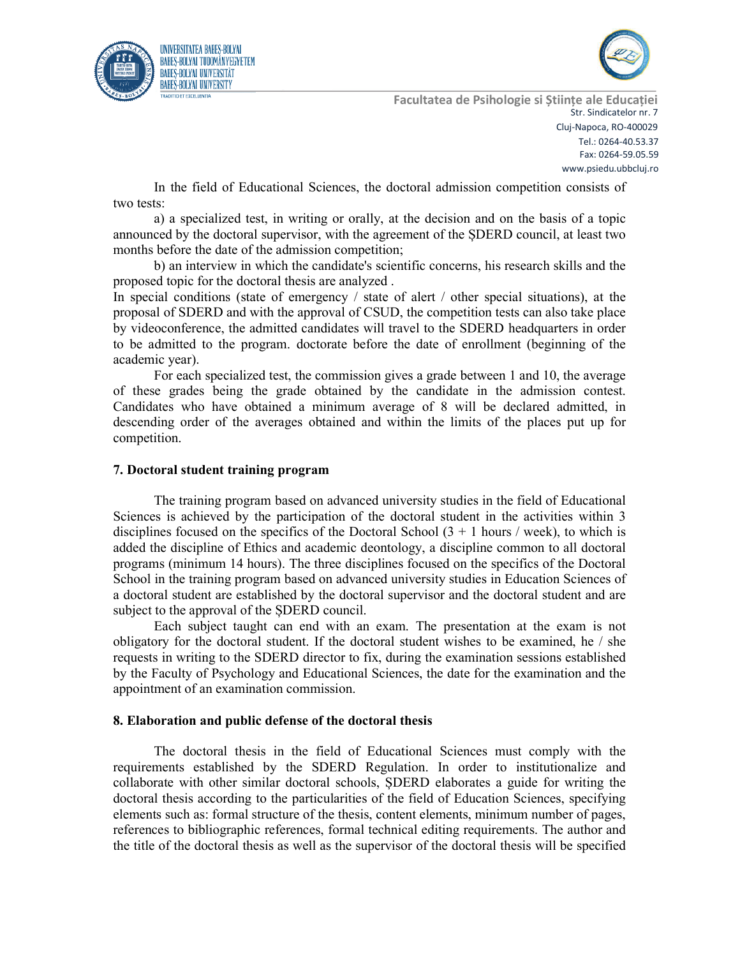



In the field of Educational Sciences, the doctoral admission competition consists of two tests:

a) a specialized test, in writing or orally, at the decision and on the basis of a topic announced by the doctoral supervisor, with the agreement of the ȘDERD council, at least two months before the date of the admission competition;

b) an interview in which the candidate's scientific concerns, his research skills and the proposed topic for the doctoral thesis are analyzed .

In special conditions (state of emergency / state of alert / other special situations), at the proposal of SDERD and with the approval of CSUD, the competition tests can also take place by videoconference, the admitted candidates will travel to the SDERD headquarters in order to be admitted to the program. doctorate before the date of enrollment (beginning of the academic year).

For each specialized test, the commission gives a grade between 1 and 10, the average of these grades being the grade obtained by the candidate in the admission contest. Candidates who have obtained a minimum average of 8 will be declared admitted, in descending order of the averages obtained and within the limits of the places put up for competition.

#### **7. Doctoral student training program**

The training program based on advanced university studies in the field of Educational Sciences is achieved by the participation of the doctoral student in the activities within 3 disciplines focused on the specifics of the Doctoral School  $(3 + 1)$  hours / week), to which is added the discipline of Ethics and academic deontology, a discipline common to all doctoral programs (minimum 14 hours). The three disciplines focused on the specifics of the Doctoral School in the training program based on advanced university studies in Education Sciences of a doctoral student are established by the doctoral supervisor and the doctoral student and are subject to the approval of the ȘDERD council.

Each subject taught can end with an exam. The presentation at the exam is not obligatory for the doctoral student. If the doctoral student wishes to be examined, he / she requests in writing to the SDERD director to fix, during the examination sessions established by the Faculty of Psychology and Educational Sciences, the date for the examination and the appointment of an examination commission.

#### **8. Elaboration and public defense of the doctoral thesis**

The doctoral thesis in the field of Educational Sciences must comply with the requirements established by the SDERD Regulation. In order to institutionalize and collaborate with other similar doctoral schools, ȘDERD elaborates a guide for writing the doctoral thesis according to the particularities of the field of Education Sciences, specifying elements such as: formal structure of the thesis, content elements, minimum number of pages, references to bibliographic references, formal technical editing requirements. The author and the title of the doctoral thesis as well as the supervisor of the doctoral thesis will be specified